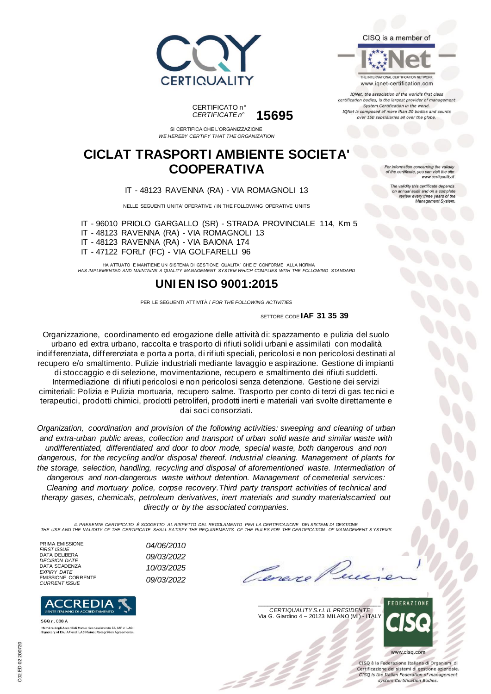





TONet, the association of the world's first class certification bodies, is the largest provider of managen System Certification in the world. IQNet is composed of more than 30 bodies and counts over 150 subsidiaries all over the globe.

CERTIFICATO n° *CERTIFICATE n°* **15695**

SI CERTIFICA CHE L'ORGANIZZAZIONE *WE HEREBY CERTIFY THAT THE ORGANIZATION*

### **CICLAT TRASPORTI AMBIENTE SOCIETA' COOPERATIVA**

IT - 48123 RAVENNA (RA) - VIA ROMAGNOLI 13

NELLE SEGUENTI UNITA' OPERATIVE / IN THE FOLLOWING OPERATIVE UNITS

IT - 96010 PRIOLO GARGALLO (SR) - STRADA PROVINCIALE 114, Km 5

IT - 48123 RAVENNA (RA) - VIA ROMAGNOLI 13

IT - 48123 RAVENNA (RA) - VIA BAIONA 174

IT - 47122 FORLI' (FC) - VIA GOLFARELLI 96

HA ATTUATO E MANTIENE UN SISTEMA DI GESTIONE QUALITA' CHE E' CONFORME ALLA NORMA *HAS IMPLEMENTED AND MAINTAINS A QUALITY MANAGEMENT SYSTEM WHICH COMPLIES WITH THE FOLLOWING STANDARD*

## **UNI EN ISO 9001:2015**

PER LE SEGUENTI ATTIVITÀ / *FOR THE FOLLOWING ACTIVITIES*

SETTORE CODE **IAF 31 35 39**

Organizzazione, coordinamento ed erogazione delle attività di: spazzamento e pulizia del suolo urbano ed extra urbano, raccolta e trasporto di rifiuti solidi urbani e assimilati con modalità indifferenziata, differenziata e porta a porta, di rifiuti speciali, pericolosi e non pericolosi destinati al recupero e/o smaltimento. Pulizie industriali mediante lavaggio e aspirazione. Gestione di impianti di stoccaggio e di selezione, movimentazione, recupero e smaltimento dei rifiuti suddetti. Intermediazione di rifiuti pericolosi e non pericolosi senza detenzione. Gestione dei servizi cimiteriali: Polizia e Pulizia mortuaria, recupero salme. Trasporto per conto di terzi di gas tec nici e terapeutici, prodotti chimici, prodotti petroliferi, prodotti inerti e materiali vari svolte direttamente e dai soci consorziati.

*Organization, coordination and provision of the following activities: sweeping and cleaning of urban and extra-urban public areas, collection and transport of urban solid waste and similar waste with undifferentiated, differentiated and door to door mode, special waste, both dangerous and non dangerous, for the recycling and/or disposal thereof. Industrial cleaning. Management of plants for the storage, selection, handling, recycling and disposal of aforementioned waste. Intermediation of dangerous and non-dangerous waste without detention. Management of cemeterial services: Cleaning and mortuary police, corpse recovery.Third party transport activities of technical and therapy gases, chemicals, petroleum derivatives, inert materials and sundry materialscarried out directly or by the associated companies.*

IL PRESENTE CERTIFICATO E SOGGETTO AL RISPETTO DEL REGOLAMENTO PER LA CERTIFICAZIONE DEI SISTEMI DI GESTIONE<br>THE USE AND THE VALIDITY OF THE CERTIFICATE SHALL SATISFY THE REQUIREMENTS OF THE RULES FOR THE CERTIFICATION OF

*FIRST ISSUE 04/06/2010*

*EXPIRY DATE 10/03/2025*

PRIMA EMISSIONE<br>FIRST ISSUE DATA DELIBERA *DECISION DATE 09/03/2022* DATA SCADENZA<br>EXPIRY DATE EMISSIONE CORRENTE *CURRENT ISSUE 09/03/2022*



560 n. 008 A Membro degli Accordi di Mutuo riconoscimento EA, IAF e ILAC<br>Signatory of EA, IAF and ILAC Mutual Recognition Agreements

 $\overline{\phantom{a}}$ *CERTIQUALITY S.r.l. IL PRESIDENTE* Via G. Giardino 4 – 20123 MILANO (MI) - ITALY



CISO è la Federazione Italiana di Organismi di Certificazione dei sistemi di gestione aziendale. CISQ is the Italian Federation of management system Certification Bodies.

tion concerning the validity of the certificate, you can visit the sit www.certiquality.it

The validity this certificate depends on annual audit and on a complete<br>review every three years of the<br>Management System.